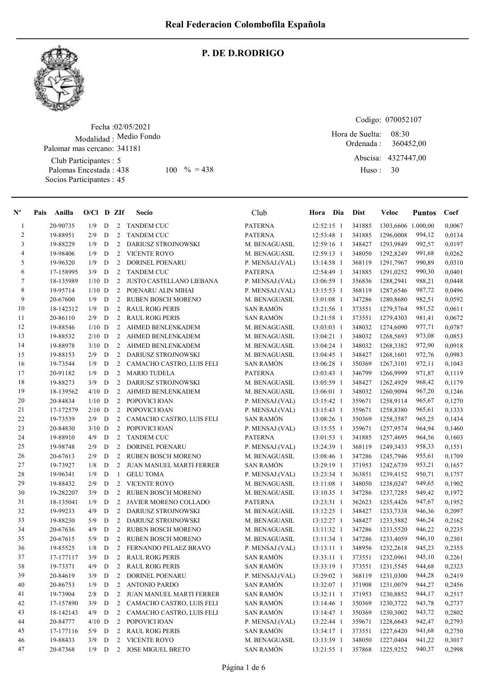

#### P. DE D.RODRIGO

Fecha : 02/05/2021 Modalidad : Medio Fondo Club Participantes : 5 Palomas Encestada : 438 Socios Participantes : 45 Palomar mas cercano: 341181 438 100 % = 438 Huso: 30

Codigo: 070052107

Ordenada : Abscisa: 4327447,00 Huso : 08:30 Hora de Suelta: 360452,00

| $N^{\circ}$    | Pais | Anilla    | $O/Cl$ D ZIf |             |                | Socio                     | Club             | Hora Dia     | <b>Dist</b> | Veloc              | <b>Puntos</b> | Coef   |
|----------------|------|-----------|--------------|-------------|----------------|---------------------------|------------------|--------------|-------------|--------------------|---------------|--------|
| $\mathbf{1}$   |      | 20-90735  | 1/9          | D           | 2              | <b>TANDEM CUC</b>         | <b>PATERNA</b>   | 12:52:15 1   | 341885      | 1303,6606 1.000,00 |               | 0,0067 |
| $\overline{c}$ |      | 19-88951  | 2/9          | D           | 2              | <b>TANDEM CUC</b>         | <b>PATERNA</b>   | 12:53:48 1   | 341885      | 1296,0008          | 994,12        | 0,0134 |
| 3              |      | 19-88229  | 1/9          | D           | $\overline{c}$ | DARIUSZ STROJNOWSKI       | M. BENAGUASIL    | 12:59:16 1   | 348427      | 1293.9849          | 992,57        | 0,0197 |
| 4              |      | 19-98406  | 1/9          | D           | $\overline{2}$ | <b>VICENTE ROYO</b>       | M. BENAGUASIL    | 12:59:13 1   | 348050      | 1292,8249          | 991,68        | 0,0262 |
| 5              |      | 19-96320  | 1/9          | D           | 2              | <b>DORINEL POENARU</b>    | P. MENSAJ.(VAL)  | 13:14:58 1   | 368119      | 1291,7967          | 990,89        | 0,0310 |
| 6              |      | 17-158995 | 3/9          | D           | 2              | <b>TANDEM CUC</b>         | <b>PATERNA</b>   | 12:54:49 1   | 341885      | 1291,0252          | 990,30        | 0,0401 |
| $\tau$         |      | 18-135989 | $1/10$ D     |             | $\overline{c}$ | JUSTO CASTELLANO LIEBANA  | P. MENSAJ.(VAL)  | 13:06:59 1   | 356836      | 1288,2941          | 988,21        | 0,0448 |
| 8              |      | 19-95714  | $1/10$ D     |             | 2              | POENARU ALIN MIHAI        | P. MENSAJ.(VAL)  | 13:15:53 1   | 368119      | 1287,6546          | 987,72        | 0,0496 |
| 9              |      | 20-67600  | 1/9          | D           | 2              | <b>RUBEN BOSCH MORENO</b> | M. BENAGUASIL    | 13:01:08 1   | 347286      | 1280,8680          | 982,51        | 0,0592 |
| 10             |      | 18-142312 | 1/9          | D           | 2              | <b>RAUL ROIG PERIS</b>    | <b>SAN RAMÓN</b> | 13:21:56 1   | 373551      | 1279,5764          | 981,52        | 0,0611 |
| 11             |      | 20-86110  | 2/9          | D           | 2              | <b>RAUL ROIG PERIS</b>    | <b>SAN RAMÓN</b> | 13:21:58 1   | 373551      | 1279,4303          | 981,41        | 0,0672 |
| 12             |      | 19-88546  | $1/10$ D     |             | 2              | AHMED BENLENKADEM         | M. BENAGUASIL    | 13:03:03 1   | 348032      | 1274,6090          | 977,71        | 0,0787 |
| 13             |      | 19-88532  | $2/10$ D     |             | 2              | AHMED BENLENKADEM         | M. BENAGUASIL    | 13:04:21 1   | 348032      | 1268,5693          | 973,08        | 0,0853 |
| 14             |      | 19-88978  | $3/10$ D     |             | 2              | AHMED BENLENKADEM         | M. BENAGUASIL    | 13:04:24 1   | 348032      | 1268,3382          | 972,90        | 0,0918 |
| 15             |      | 19-88153  | 2/9          | D           | 2              | DARIUSZ STROJNOWSKI       | M. BENAGUASIL    | 13:04:45 1   | 348427      | 1268,1601          | 972,76        | 0,0983 |
| 16             |      | 19-73544  | 1/9          | D           | 2              | CAMACHO CASTRO, LUIS FELI | <b>SAN RAMÓN</b> | 13:06:28 1   | 350369      | 1267,3101          | 972,11        | 0,1043 |
| 17             |      | 20-91182  | 1/9          | D           | $\overline{2}$ | <b>MARIO TUDELA</b>       | <b>PATERNA</b>   | 13:03:43 1   | 346799      | 1266,9999          | 971,87        | 0,1119 |
| 18             |      | 19-88273  | 3/9          | D           | 2              | DARIUSZ STROJNOWSKI       | M. BENAGUASIL    | 13:05:59 1   | 348427      | 1262,4929          | 968,42        | 0,1179 |
| 19             |      | 18-139562 | $4/10$ D     |             | 2              | AHMED BENLENKADEM         | M. BENAGUASIL    | 13:06:01 1   | 348032      | 1260,9094          | 967,20        | 0,1246 |
| 20             |      | 20-84834  | $1/10$ D     |             | 2              | POPOVICI IOAN             | P. MENSAJ.(VAL)  | 13:15:42 1   | 359671      | 1258,9114          | 965,67        | 0,1270 |
| 21             |      | 17-172579 | $2/10$ D     |             | 2              | POPOVICI IOAN             | P. MENSAJ.(VAL)  | 13:15:43 1   | 359671      | 1258,8380          | 965,61        | 0,1333 |
| $22\,$         |      | 19-73539  | 2/9          | D           | 2              | CAMACHO CASTRO, LUIS FELI | SAN RAMÓN        | 13:08:26 1   | 350369      | 1258,3587          | 965,25        | 0,1434 |
| 23             |      | 20-84830  | $3/10$ D     |             | 2              | POPOVICI IOAN             | P. MENSAJ.(VAL)  | 13:15:55 1   | 359671      | 1257,9574          | 964,94        | 0,1460 |
| 24             |      | 19-88910  | 4/9          | D           | 2              | <b>TANDEM CUC</b>         | <b>PATERNA</b>   | 13:01:53 1   | 341885      | 1257,4695          | 964,56        | 0,1603 |
| 25             |      | 19-98748  | 2/9          | D           | $\overline{2}$ | DORINEL POENARU           | P. MENSAJ.(VAL)  | 13:24:39 1   | 368119      | 1249,3433          | 958,33        | 0,1551 |
| 26             |      | 20-67613  | 2/9          | D           | 2              | <b>RUBEN BOSCH MORENO</b> | M. BENAGUASIL    | 13:08:46 1   | 347286      | 1245,7946          | 955,61        | 0,1709 |
| 27             |      | 19-73927  | 1/8          | D           | 2              | JUAN MANUEL MARTI FERRER  | <b>SAN RAMÓN</b> | 13:29:19 1   | 371953      | 1242,6739          | 953,21        | 0,1657 |
| 28             |      | 19-96341  | 1/9          | D           | $\mathbf{1}$   | <b>GELU TOMA</b>          | P. MENSAJ.(VAL)  | 13:23:34 1   | 363851      | 1239,4152          | 950,71        | 0,1757 |
| 29             |      | 19-88432  | 2/9          | D           | $\overline{2}$ | <b>VICENTE ROYO</b>       | M. BENAGUASIL    | 13:11:08 1   | 348050      | 1238,0247          | 949,65        | 0,1902 |
| 30             |      | 19-282207 | 3/9          | D           | 2              | <b>RUBEN BOSCH MORENO</b> | M. BENAGUASIL    | 13:10:35 1   | 347286      | 1237,7285          | 949,42        | 0,1972 |
| 31             |      | 18-135041 | 1/9          | D           | $\overline{c}$ | JAVIER MORENO COLLADO     | <b>PATERNA</b>   | 13:23:31 1   | 362623      | 1235,4426          | 947,67        | 0,1952 |
| 32             |      | 19-99233  | 4/9          | D           | 2              | DARIUSZ STROJNOWSKI       | M. BENAGUASIL    | 13:12:25 1   | 348427      | 1233,7338          | 946,36        | 0,2097 |
| 33             |      | 19-88230  | 5/9          | D           | 2              | DARIUSZ STROJNOWSKI       | M. BENAGUASIL    | 13:12:27 1   | 348427      | 1233,5882          | 946,24        | 0,2162 |
| 34             |      | 20-67636  | 4/9          | $\mathbf D$ | $\overline{c}$ | <b>RUBEN BOSCH MORENO</b> | M. BENAGUASIL    | 13:11:32 1   | 347286      | 1233,5520          | 946,22        | 0,2235 |
| 35             |      | 20-67615  | 5/9          | D           | 2              | <b>RUBEN BOSCH MORENO</b> | M. BENAGUASIL    | 13:11:34 1   | 347286      | 1233,4059          | 946,10        | 0,2301 |
| 36             |      | 19-85525  | 1/8          | D           | $\overline{c}$ | FERNANDO PELAEZ BRAVO     | P. MENSAJ.(VAL)  | $13:13:11$ 1 | 348956      | 1232,2618          | 945,23        | 0,2355 |
| 37             |      | 17-177117 | 3/9          | D           | $\overline{2}$ | <b>RAUL ROIG PERIS</b>    | <b>SAN RAMÓN</b> | 13:33:11 1   | 373551      | 1232,0961          | 945,10        | 0,2261 |
| 38             |      | 19-73371  | 4/9          | D           | 2              | <b>RAUL ROIG PERIS</b>    | SAN RAMÓN        | 13:33:19 1   | 373551      | 1231,5545          | 944,68        | 0,2323 |
| 39             |      | 20-84619  | 3/9          | D           | 2              | DORINEL POENARU           | P. MENSAJ.(VAL)  | 13:29:02 1   | 368119      | 1231,0300          | 944,28        | 0,2419 |
| 40             |      | 20-86753  | 1/9          | $\mathbf D$ | 2              | <b>ANTONIO PARDO</b>      | <b>SAN RAMÓN</b> | 13:32:07 1   | 371908      | 1231,0079          | 944,27        | 0,2456 |
| 41             |      | 19-73904  | 2/8          | $\mathbf D$ | 2              | JUAN MANUEL MARTI FERRER  | <b>SAN RAMÓN</b> | 13:32:11 1   | 371953      | 1230,8852          | 944,17        | 0,2517 |
| 42             |      | 17-157890 | 3/9          | D           | 2              | CAMACHO CASTRO, LUIS FELI | <b>SAN RAMÓN</b> | 13:14:46 1   | 350369      | 1230,3722          | 943,78        | 0,2737 |
| 43             |      | 18-142143 | 4/9          | $\mathbf D$ | 2              | CAMACHO CASTRO, LUIS FELI | SAN RAMÓN        | 13:14:47 1   | 350369      | 1230,3002          | 943,72        | 0,2802 |
| 44             |      | 20-84777  | $4/10$ D     |             | 2              | POPOVICI IOAN             | P. MENSAJ.(VAL)  | 13:22:44 1   | 359671      | 1228,6643          | 942,47        | 0,2793 |
| 45             |      | 17-177116 | 5/9          | D           | 2              | <b>RAUL ROIG PERIS</b>    | <b>SAN RAMÓN</b> | 13:34:17 1   | 373551      | 1227,6420          | 941,68        | 0,2750 |
| 46             |      | 19-88433  | 3/9          | $\mathbf D$ | 2              | <b>VICENTE ROYO</b>       | M. BENAGUASIL    | 13:13:39 1   | 348050      | 1227,0404          | 941,22        | 0,3017 |
| 47             |      | 20-87368  | $1/9$ D      |             | $\overline{2}$ | <b>JOSE MIGUEL BRETO</b>  | SAN RAMÓN        | 13:21:55 1   | 357868      | 1225,9252          | 940,37        | 0,2998 |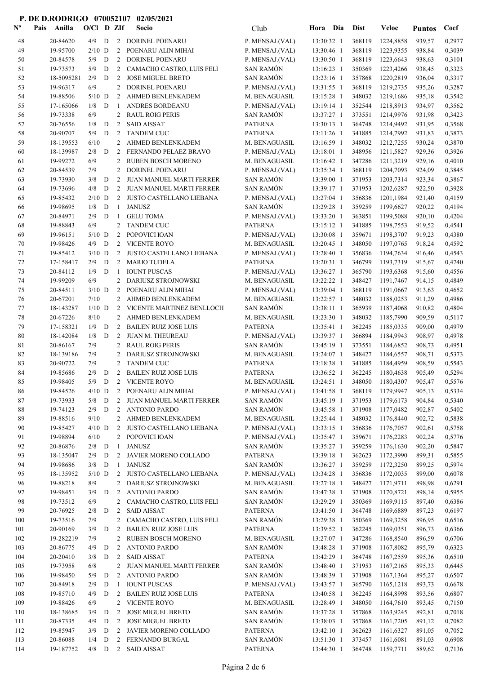| $\mathbf{N}^{\mathbf{o}}$ | Anilla<br>Pais        | $O/C1$ D ZIf        |           |                                  | Socio                                                | Club                               | Dia<br>Hora              | <b>Dist</b>      | Veloc                  | <b>Puntos</b>    | Coef             |
|---------------------------|-----------------------|---------------------|-----------|----------------------------------|------------------------------------------------------|------------------------------------|--------------------------|------------------|------------------------|------------------|------------------|
| 48                        | 20-84620              | 4/9                 | D         |                                  | 2 DORINEL POENARU                                    | P. MENSAJ.(VAL)                    | 13:30:32 1               | 368119           | 1224,8858              | 939,57           | 0,2977           |
| 49                        | 19-95700              | $2/10$ D            |           | 2                                | POENARU ALIN MIHAI                                   | P. MENSAJ.(VAL)                    | 13:30:46 1               | 368119           | 1223,9355              | 938,84           | 0,3039           |
| 50                        | 20-84578              | 5/9                 | D         | $\overline{2}$                   | <b>DORINEL POENARU</b>                               | P. MENSAJ.(VAL)                    | 13:30:50 1               | 368119           | 1223,6643              | 938,63           | 0,3101           |
| 51                        | 19-73573              | 5/9                 | D         | $\mathbf{2}$                     | CAMACHO CASTRO, LUIS FELI                            | <b>SAN RAMÓN</b>                   | 13:16:23 1               | 350369           | 1223,4266              | 938,45           | 0,3323           |
| 52                        | 18-5095281            | 2/9                 | D         | $\overline{2}$                   | <b>JOSE MIGUEL BRETO</b>                             | <b>SAN RAMÓN</b>                   | 13:23:16 1               | 357868           | 1220,2819              | 936,04           | 0,3317           |
| 53                        | 19-96317              | 6/9                 |           | $\overline{2}$                   | DORINEL POENARU                                      | P. MENSAJ.(VAL)                    | 13:31:55 1               | 368119           | 1219,2735              | 935,26           | 0,3287           |
| 54                        | 19-88506              | $5/10$ D            |           | 2                                | AHMED BENLENKADEM                                    | M. BENAGUASIL                      | 13:15:28 1               | 348032           | 1219,1686              | 935,18           | 0,3542           |
| 55                        | 17-165066             | 1/8<br>6/9          | D         | $\mathbf{1}$                     | ANDRES BORDEANU                                      | P. MENSAJ.(VAL)                    | 13:19:14 1               | 352544           | 1218,8913<br>1214,9976 | 934,97           | 0,3562           |
| 56<br>57                  | 19-73338<br>20-76556  | 1/8                 | D         | $\overline{2}$<br>$\overline{2}$ | <b>RAUL ROIG PERIS</b><br><b>SAID AISSAT</b>         | <b>SAN RAMÓN</b><br><b>PATERNA</b> | 13:37:27 1<br>13:30:13 1 | 373551<br>364748 | 1214,9492              | 931,98<br>931,95 | 0,3423<br>0,3568 |
| 58                        | 20-90707              | 5/9                 | D         | 2                                | <b>TANDEM CUC</b>                                    | <b>PATERNA</b>                     | 13:11:26 1               | 341885           | 1214,7992              | 931,83           | 0,3873           |
| 59                        | 18-139553             | 6/10                |           | $\overline{2}$                   | AHMED BENLENKADEM                                    | M. BENAGUASIL                      | 13:16:59 1               | 348032           | 1212,7255              | 930,24           | 0,3870           |
| 60                        | 18-139987             | 2/8                 | D         | 2                                | FERNANDO PELAEZ BRAVO                                | P. MENSAJ.(VAL)                    | 13:18:01 1               | 348956           | 1211,5827              | 929,36           | 0,3926           |
| 61                        | 19-99272              | 6/9                 |           | $\overline{2}$                   | RUBEN BOSCH MORENO                                   | M. BENAGUASIL                      | 13:16:42 1               | 347286           | 1211,3219              | 929,16           | 0,4010           |
| 62                        | 20-84539              | 7/9                 |           | $\overline{2}$                   | DORINEL POENARU                                      | P. MENSAJ.(VAL)                    | 13:35:34 1               | 368119           | 1204,7093              | 924,09           | 0,3845           |
| 63                        | 19-73930              | 3/8                 | ${\bf D}$ | 2                                | JUAN MANUEL MARTI FERRER                             | <b>SAN RAMÓN</b>                   | 13:39:00 1               | 371953           | 1203,7314              | 923,34           | 0,3867           |
| 64                        | 19-73696              | 4/8                 | D         |                                  | 2 JUAN MANUEL MARTI FERRER                           | <b>SAN RAMÓN</b>                   | 13:39:17 1               | 371953           | 1202,6287              | 922,50           | 0,3928           |
| 65                        | 19-85432              | $2/10$ D            |           |                                  | 2 JUSTO CASTELLANO LIEBANA                           | P. MENSAJ.(VAL)                    | 13:27:04 1               | 356836           | 1201,1984              | 921,40           | 0,4159           |
| 66                        | 19-98695              | 1/8                 | D         | $\mathbf{1}$                     | <b>JANUSZ</b>                                        | <b>SAN RAMÓN</b>                   | 13:29:28 1               | 359259           | 1199,6627              | 920,22           | 0,4194           |
| 67                        | 20-84971              | 2/9                 | D         | -1                               | <b>GELU TOMA</b>                                     | P. MENSAJ.(VAL)                    | 13:33:20 1               | 363851           | 1199,5088              | 920,10           | 0,4204           |
| 68                        | 19-88843              | 6/9                 |           | 2                                | <b>TANDEM CUC</b>                                    | <b>PATERNA</b>                     | 13:15:12 1               | 341885           | 1198,7553              | 919,52           | 0,4541           |
| 69                        | 19-96151              | $5/10$ D            |           | $\overline{2}$                   | POPOVICI IOAN                                        | P. MENSAJ.(VAL)                    | 13:30:08 1               | 359671           | 1198,3707              | 919,23           | 0,4380           |
| 70                        | 19-98426              | 4/9                 | D         | $\overline{2}$                   | <b>VICENTE ROYO</b>                                  | M. BENAGUASIL                      | 13:20:45 1               | 348050           | 1197,0765              | 918,24           | 0,4592           |
| 71                        | 19-85412              | $3/10$ D            |           | $\overline{2}$                   | JUSTO CASTELLANO LIEBANA                             | P. MENSAJ.(VAL)                    | 13:28:40 1               | 356836           | 1194,7634              | 916,46           | 0,4543           |
| 72<br>73                  | 17-158417<br>20-84112 | 2/9<br>1/9          | D<br>D    | $\overline{2}$<br>-1             | <b>MARIO TUDELA</b><br><b>IOUNT PUSCAS</b>           | <b>PATERNA</b><br>P. MENSAJ.(VAL)  | 13:20:31 1<br>13:36:27 1 | 346799<br>365790 | 1193,7319<br>1193,6368 | 915,67<br>915,60 | 0,4740<br>0,4556 |
| 74                        | 19-99209              | 6/9                 |           | $\overline{2}$                   | DARIUSZ STROJNOWSKI                                  | M. BENAGUASIL                      | 13:22:22 1               | 348427           | 1191,7467              | 914,15           | 0,4849           |
| 75                        | 20-84511              | $3/10$ D            |           | 2                                | POENARU ALIN MIHAI                                   | P. MENSAJ.(VAL)                    | 13:39:04 1               | 368119           | 1191,0667              | 913,63           | 0,4652           |
| 76                        | 20-67201              | 7/10                |           |                                  | 2 AHMED BENLENKADEM                                  | M. BENAGUASIL                      | 13:22:57 1               | 348032           | 1188,0253              | 911,29           | 0,4986           |
| 77                        | 18-143287             | $1/10$ D            |           | 2                                | VICENTE MARTINEZ BENLLOCH                            | <b>SAN RAMÓN</b>                   | 13:38:11 1               | 365939           | 1187,4068              | 910,82           | 0,4804           |
| 78                        | 20-67226              | 8/10                |           | $\overline{2}$                   | AHMED BENLENKADEM                                    | M. BENAGUASIL                      | 13:23:30 1               | 348032           | 1185,7990              | 909,59           | 0,5117           |
| 79                        | 17-158321             | 1/9                 | D         | 2                                | <b>BAILEN RUIZ JOSE LUIS</b>                         | <b>PATERNA</b>                     | 13:35:41 1               | 362245           | 1185,0335              | 909,00           | 0,4979           |
| 80                        | 18-142084             | 1/8                 | D         | $\overline{2}$                   | <b>JUAN M. THEUREAU</b>                              | P. MENSAJ.(VAL)                    | 13:39:37 1               | 366894           | 1184,9943              | 908,97           | 0,4978           |
| 81                        | 20-86167              | 7/9                 |           | 2                                | <b>RAUL ROIG PERIS</b>                               | <b>SAN RAMÓN</b>                   | 13:45:19 1               | 373551           | 1184,6852              | 908,73           | 0,4951           |
| 82                        | 18-139186             | 7/9                 |           | 2                                | DARIUSZ STROJNOWSKI                                  | M. BENAGUASIL                      | 13:24:07 1               | 348427           | 1184,6557              | 908,71           | 0,5373           |
| 83                        | 20-90722              | 7/9                 |           | $\overline{2}$                   | <b>TANDEM CUC</b>                                    | <b>PATERNA</b>                     | 13:18:38 1               | 341885           | 1184,4959              | 908,59           | 0,5543           |
| 84                        | 19-85686              | 2/9                 | D         | $\overline{2}$                   | <b>BAILEN RUIZ JOSE LUIS</b>                         | <b>PATERNA</b>                     | 13:36:52 1               | 362245           | 1180,4638              | 905,49           | 0,5294           |
| 85                        | 19-98405              |                     |           |                                  | 5/9 D 2 VICENTE ROYO                                 | M. BENAGUASIL                      | 13:24:51 1               |                  | 348050 1180,4307       | 905,47           | 0,5576           |
| 86<br>87                  | 19-84526<br>19-73933  | $4/10$ D<br>$5/8$ D |           |                                  | 2 POENARU ALIN MIHAI<br>2 JUAN MANUEL MARTI FERRER   | P. MENSAJ.(VAL)<br>SAN RAMÓN       | 13:41:58 1<br>13:45:19 1 | 368119<br>371953 | 1179,9947<br>1179,6173 | 905,13<br>904,84 | 0,5334<br>0,5340 |
| 88                        | 19-74123              | $2/9$ D             |           |                                  | 2 ANTONIO PARDO                                      | <b>SAN RAMÓN</b>                   | 13:45:58 1               | 371908           | 1177,0482              | 902,87           | 0,5402           |
| 89                        | 19-88516              | 9/10                |           |                                  | 2 AHMED BENLENKADEM                                  | M. BENAGUASIL                      | 13:25:44 1               | 348032           | 1176,8440              | 902,72           | 0,5838           |
| 90                        | 19-85427              | $4/10$ D            |           |                                  | 2 JUSTO CASTELLANO LIEBANA                           | P. MENSAJ.(VAL)                    | 13:33:15 1               | 356836           | 1176,7057              | 902,61           | 0,5758           |
| 91                        | 19-98894              | 6/10                |           |                                  | 2 POPOVICI IOAN                                      | P. MENSAJ.(VAL)                    | 13:35:47 1               | 359671           | 1176,2283              | 902,24           | 0,5776           |
| 92                        | 20-86876              | $2/8$ D             |           | -1                               | <b>JANUSZ</b>                                        | <b>SAN RAMÓN</b>                   | 13:35:27 1               | 359259           | 1176,1630              | 902,20           | 0,5847           |
| 93                        | 18-135047             | 2/9                 | D         |                                  | 2 JAVIER MORENO COLLADO                              | <b>PATERNA</b>                     | 13:39:18 1               | 362623           | 1172,3990              | 899,31           | 0,5855           |
| 94                        | 19-98686              | $3/8$ D             |           | $\mathbf{1}$                     | <b>JANUSZ</b>                                        | <b>SAN RAMÓN</b>                   | 13:36:27 1               | 359259           | 1172,3250              | 899,25           | 0,5974           |
| 95                        | 18-135952             | $5/10$ D            |           |                                  | 2 JUSTO CASTELLANO LIEBANA                           | P. MENSAJ.(VAL)                    | 13:34:28 1               | 356836           | 1172,0035              | 899,00           | 0,6078           |
| 96                        | 19-88218              | 8/9                 |           |                                  | 2 DARIUSZ STROJNOWSKI                                | M. BENAGUASIL                      | 13:27:18 1               | 348427           | 1171,9711              | 898,98           | 0,6291           |
| 97                        | 19-98451              | 3/9                 | D         |                                  | 2 ANTONIO PARDO                                      | <b>SAN RAMÓN</b>                   | 13:47:38 1               | 371908           | 1170,8721              | 898,14           | 0,5955           |
| 98                        | 19-73512              | 6/9                 |           | $\overline{2}$                   | CAMACHO CASTRO, LUIS FELI                            | <b>SAN RAMÓN</b>                   | 13:29:29 1               | 350369           | 1169,9115              | 897,40           | 0,6386           |
| 99                        | 20-76925              | 2/8                 | D         | 2                                | <b>SAID AISSAT</b>                                   | <b>PATERNA</b>                     | 13:41:50 1               | 364748           | 1169,6889              | 897,23           | 0,6197           |
| 100                       | 19-73516              | 7/9                 |           |                                  | 2 CAMACHO CASTRO, LUIS FELI                          | <b>SAN RAMÓN</b>                   | 13:29:38 1               | 350369           | 1169,3258              | 896,95           | 0,6516           |
| 101                       | 20-90169<br>19-282219 | 3/9<br>7/9          | D         | 2                                | <b>BAILEN RUIZ JOSE LUIS</b><br>2 RUBEN BOSCH MORENO | <b>PATERNA</b><br>M. BENAGUASIL    | 13:39:52 1<br>13:27:07 1 | 362245<br>347286 | 1169,0351<br>1168,8540 | 896,73           | 0,6366<br>0,6706 |
| 102<br>103                | 20-86775              | 4/9                 | D         | $\overline{2}$                   | <b>ANTONIO PARDO</b>                                 | <b>SAN RAMÓN</b>                   | 13:48:28 1               | 371908           | 1167,8082              | 896,59<br>895,79 | 0,6323           |
| 104                       | 20-20410              | 3/8                 | D         | 2                                | <b>SAID AISSAT</b>                                   | <b>PATERNA</b>                     | 13:42:29 1               | 364748           | 1167,2559              | 895,36           | 0,6510           |
| 105                       | 19-73958              | 6/8                 |           | $\overline{2}$                   | JUAN MANUEL MARTI FERRER                             | <b>SAN RAMÓN</b>                   | 13:48:40 1               | 371953           | 1167,2165              | 895,33           | 0,6445           |
| 106                       | 19-98450              | 5/9                 | D         | $\overline{2}$                   | <b>ANTONIO PARDO</b>                                 | <b>SAN RAMÓN</b>                   | 13:48:39 1               | 371908           | 1167,1364              | 895,27           | 0,6507           |
| 107                       | 20-84918              | 2/9                 | D         | $\mathbf{1}$                     | <b>IOUNT PUSCAS</b>                                  | P. MENSAJ.(VAL)                    | 13:43:57 1               | 365790           | 1165,1218              | 893,73           | 0,6678           |
| 108                       | 19-85710              | 4/9                 | D         | $2^{\circ}$                      | <b>BAILEN RUIZ JOSE LUIS</b>                         | <b>PATERNA</b>                     | 13:40:58 1               | 362245           | 1164,8998              | 893,56           | 0,6807           |
| 109                       | 19-88426              | 6/9                 |           | $\overline{2}$                   | <b>VICENTE ROYO</b>                                  | M. BENAGUASIL                      | 13:28:49 1               | 348050           | 1164,7610              | 893,45           | 0,7150           |
| 110                       | 18-138685             | 3/9                 | ${\bf D}$ | 2                                | <b>JOSE MIGUEL BRETO</b>                             | <b>SAN RAMÓN</b>                   | 13:37:28 1               | 357868           | 1163,9245              | 892,81           | 0,7018           |
| 111                       | 20-87335              | 4/9                 | ${\bf D}$ |                                  | 2 JOSE MIGUEL BRETO                                  | <b>SAN RAMÓN</b>                   | 13:38:03 1               | 357868           | 1161,7205              | 891,12           | 0,7082           |
| 112                       | 19-85947              | 3/9                 | D         |                                  | 2 JAVIER MORENO COLLADO                              | <b>PATERNA</b>                     | 13:42:10 1               | 362623           | 1161,6327              | 891,05           | 0,7052           |
| 113                       | 20-86088              | 1/4                 | D         |                                  | 2 FERNANDO BURGAL                                    | <b>SAN RAMÓN</b>                   | 13:51:30 1               | 373457           | 1161,6081              | 891,03           | 0,6908           |
| 114                       | 19-187752             | $4/8$ D             |           |                                  | 2 SAID AISSAT                                        | <b>PATERNA</b>                     | 13:44:30 1               | 364748           | 1159,7711              | 889,62           | 0,7136           |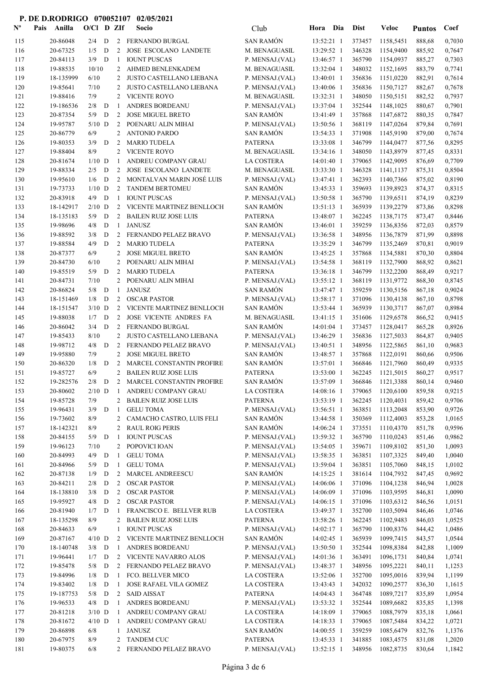| $\mathbf{N}^{\mathbf{o}}$ | Pais | Anilla               | $O/C1$ D ZIf    |                  |                | Socio                                               | Club                                | Hora                     | Dia | <b>Dist</b>      | Veloc                       | <b>Puntos</b>    | Coef             |
|---------------------------|------|----------------------|-----------------|------------------|----------------|-----------------------------------------------------|-------------------------------------|--------------------------|-----|------------------|-----------------------------|------------------|------------------|
| 115                       |      | 20-86048             | 2/4             | D                |                | 2 FERNANDO BURGAL                                   | <b>SAN RAMÓN</b>                    | 13:52:21 1               |     | 373457           | 1158,5451                   | 888,68           | 0,7030           |
| 116                       |      | 20-67325             | 1/5             | D                | 2              | <b>JOSE ESCOLANO LANDETE</b>                        | M. BENAGUASIL                       | 13:29:52 1               |     | 346328           | 1154,9400                   | 885,92           | 0,7647           |
| 117                       |      | 20-84113             | $3/9$ D         |                  | -1             | <b>IOUNT PUSCAS</b>                                 | P. MENSAJ.(VAL)                     | 13:46:57 1               |     | 365790           | 1154,0937                   | 885,27           | 0,7303           |
| 118                       |      | 19-88535             | 10/10           |                  | 2              | AHMED BENLENKADEM                                   | M. BENAGUASIL                       | 13:32:04 1               |     | 348032           | 1152,1695                   | 883,79           | 0,7741           |
| 119                       |      | 18-135999            | 6/10            |                  | 2              | JUSTO CASTELLANO LIEBANA                            | P. MENSAJ.(VAL)                     | 13:40:01 1               |     | 356836           | 1151,0220                   | 882,91           | 0,7614           |
| 120                       |      | 19-85641             | 7/10            |                  | 2              | JUSTO CASTELLANO LIEBANA                            | P. MENSAJ.(VAL)                     | 13:40:06 1               |     | 356836           | 1150,7127                   | 882,67           | 0,7678           |
| 121                       |      | 19-88416             | 7/9             |                  | 2              | VICENTE ROYO                                        | M. BENAGUASIL                       | 13:32:31 1               |     | 348050           | 1150,5151                   | 882,52           | 0,7937           |
| 122                       |      | 19-186536            | 2/8             | D                | -1             | ANDRES BORDEANU                                     | P. MENSAJ.(VAL)                     | 13:37:04 1               |     | 352544           | 1148,1025                   | 880,67           | 0,7901           |
| 123                       |      | 20-87354             | 5/9             | D                | 2              | <b>JOSE MIGUEL BRETO</b>                            | <b>SAN RAMÓN</b>                    | 13:41:49 1               |     | 357868           | 1147,6872                   | 880,35           | 0,7847           |
| 124                       |      | 19-95787             | $5/10$ D        |                  | 2              | POENARU ALIN MIHAI                                  | P. MENSAJ.(VAL)                     | 13:50:56 1               |     | 368119           | 1147,0264                   | 879,84           | 0,7691           |
| 125                       |      | 20-86779             | 6/9             |                  | 2              | <b>ANTONIO PARDO</b>                                | <b>SAN RAMÓN</b>                    | 13:54:33 1               |     | 371908           | 1145,9190                   | 879,00           | 0,7674           |
| 126                       |      | 19-80353             | 3/9             | D                | 2              | <b>MARIO TUDELA</b>                                 | <b>PATERNA</b>                      | 13:33:08 1               |     | 346799           | 1144,0477                   | 877,56           | 0,8295           |
| 127                       |      | 19-88404             | 8/9             |                  | 2              | <b>VICENTE ROYO</b>                                 | M. BENAGUASIL<br>LA COSTERA         | 13:34:16 1               |     | 348050<br>379065 | 1143,8979                   | 877,45           | 0,8331           |
| 128<br>129                |      | 20-81674<br>19-88334 | $1/10$ D<br>2/5 | D                | -1<br>2        | ANDREU COMPANY GRAU<br><b>JOSE ESCOLANO LANDETE</b> | M. BENAGUASIL                       | 14:01:40 1<br>13:33:30 1 |     | 346328           | 1142,9095<br>1141,1137      | 876,69<br>875,31 | 0,7709<br>0,8504 |
| 130                       |      | 19-95610             | 1/6             | D                | 2              | MONTALVAN MARIN JOSÉ LUIS                           | P. MENSAJ.(VAL)                     | 13:47:41 1               |     | 362393           | 1140,7366                   | 875,02           | 0,8190           |
| 131                       |      | 19-73733             | $1/10$ D        |                  | 2              | <b>TANDEM BERTOMEU</b>                              | <b>SAN RAMÓN</b>                    | 13:45:33 1               |     | 359693           | 1139,8923                   | 874,37           | 0,8315           |
| 132                       |      | 20-83918             | 4/9             | $\mathbf D$      | -1             | <b>IOUNT PUSCAS</b>                                 | P. MENSAJ.(VAL)                     | 13:50:58 1               |     | 365790           | 1139,6511                   | 874,19           | 0,8239           |
| 133                       |      | 18-142917            | $2/10$ D        |                  |                | 2 VICENTE MARTINEZ BENLLOCH                         | <b>SAN RAMÓN</b>                    | 13:51:13 1               |     | 365939           | 1139,2279                   | 873,86           | 0,8298           |
| 134                       |      | 18-135183            | 5/9             | D                | 2              | <b>BAILEN RUIZ JOSE LUIS</b>                        | <b>PATERNA</b>                      | 13:48:07 1               |     | 362245           | 1138,7175                   | 873,47           | 0,8446           |
| 135                       |      | 19-98696             | 4/8             | D                | 1              | <b>JANUSZ</b>                                       | <b>SAN RAMÓN</b>                    | 13:46:01 1               |     | 359259           | 1136,8356                   | 872,03           | 0,8579           |
| 136                       |      | 19-88592             | 3/8             | D                | 2              | FERNANDO PELAEZ BRAVO                               | P. MENSAJ.(VAL)                     | 13:36:58 1               |     | 348956           | 1136,7879                   | 871,99           | 0,8898           |
| 137                       |      | 19-88584             | 4/9             | D                | 2              | <b>MARIO TUDELA</b>                                 | <b>PATERNA</b>                      | 13:35:29 1               |     | 346799           | 1135,2469                   | 870,81           | 0,9019           |
| 138                       |      | 20-87377             | 6/9             |                  | 2              | <b>JOSE MIGUEL BRETO</b>                            | SAN RAMÓN                           | 13:45:25 1               |     | 357868           | 1134,5881                   | 870,30           | 0,8804           |
| 139                       |      | 20-84730             | 6/10            |                  | 2              | POENARU ALIN MIHAI                                  | P. MENSAJ.(VAL)                     | 13:54:58 1               |     | 368119           | 1132,7900                   | 868,92           | 0,8621           |
| 140                       |      | 19-85519             | 5/9             | D                | 2              | <b>MARIO TUDELA</b>                                 | <b>PATERNA</b>                      | 13:36:18 1               |     | 346799           | 1132,2200                   | 868,49           | 0,9217           |
| 141                       |      | 20-84731             | 7/10            |                  | $\overline{2}$ | POENARU ALIN MIHAI                                  | P. MENSAJ.(VAL)                     | 13:55:12 1               |     | 368119           | 1131,9772                   | 868,30           | 0,8745           |
| 142                       |      | 20-86824             | 5/8             | D                | -1             | <b>JANUSZ</b>                                       | <b>SAN RAMÓN</b>                    | 13:47:47 1               |     | 359259           | 1130,5156                   | 867,18           | 0,9024           |
| 143                       |      | 18-151469            | 1/8             | D                | 2              | <b>OSCAR PASTOR</b>                                 | P. MENSAJ.(VAL)                     | 13:58:17 1               |     | 371096           | 1130,4138                   | 867,10           | 0,8798           |
| 144                       |      | 18-151547            | $3/10$ D        |                  |                | 2 VICENTE MARTINEZ BENLLOCH                         | <b>SAN RAMÓN</b>                    | 13:53:44 1               |     | 365939           | 1130,3717                   | 867,07           | 0,8984           |
| 145                       |      | 19-88038             | 1/7             | D                | 2              | JOSE VICENTE ANDRES FA                              | M. BENAGUASIL                       | 13:41:15 1               |     | 351606           | 1129,6578                   | 866,52           | 0,9415           |
| 146                       |      | 20-86042             | 3/4             | D                | 2              | FERNANDO BURGAL                                     | <b>SAN RAMÓN</b>                    | 14:01:04 1               |     | 373457           | 1128,0417                   | 865,28           | 0,8926           |
| 147                       |      | 19-85433             | 8/10            |                  |                | 2 JUSTO CASTELLANO LIEBANA                          | P. MENSAJ.(VAL)                     | 13:46:29 1               |     | 356836           | 1127,5033                   | 864,87           | 0,9405           |
| 148<br>149                |      | 19-98712<br>19-95880 | 4/8<br>7/9      | D                | 2<br>2         | FERNANDO PELAEZ BRAVO<br><b>JOSE MIGUEL BRETO</b>   | P. MENSAJ.(VAL)<br><b>SAN RAMÓN</b> | 13:40:51 1<br>13:48:57 1 |     | 348956<br>357868 | 1122,5865                   | 861,10           | 0,9683<br>0,9506 |
| 150                       |      | 20-86320             | 1/8             | D                | 2              | MARCEL CONSTANTIN PROFIRE                           | <b>SAN RAMÓN</b>                    | 13:57:01 1               |     | 366846           | 1122,0191<br>1121,7960      | 860,66<br>860,49 | 0,9335           |
| 151                       |      | 19-85727             | 6/9             |                  |                | 2 BAILEN RUIZ JOSE LUIS                             | <b>PATERNA</b>                      | 13:53:00 1               |     | 362245           | 1121,5015                   | 860,27           | 0,9517           |
| 152                       |      | 19-282576            |                 |                  |                | 2/8 D 2 MARCEL CONSTANTIN PROFIRE                   | SAN RAMÓN                           |                          |     |                  | 13:57:09 1 366846 1121,3388 | 860,14           | 0,9460           |
| 153                       |      | 20-80602             | $2/10$ D        |                  | - 1            | ANDREU COMPANY GRAU                                 | LA COSTERA                          | 14:08:16 1               |     | 379065           | 1120,6100                   | 859,58           | 0,9215           |
| 154                       |      | 19-85728             | 7/9             |                  | $\mathbf{2}$   | <b>BAILEN RUIZ JOSE LUIS</b>                        | <b>PATERNA</b>                      | 13:53:19 1               |     | 362245           | 1120,4031                   | 859,42           | 0,9706           |
| 155                       |      | 19-96431             | 3/9             | $\mathbf D$      | 1              | <b>GELU TOMA</b>                                    | P. MENSAJ.(VAL)                     | 13:56:51 1               |     | 363851           | 1113,2048                   | 853,90           | 0,9726           |
| 156                       |      | 19-73602             | 8/9             |                  | $\mathbf{2}$   | CAMACHO CASTRO, LUIS FELI                           | <b>SAN RAMÓN</b>                    | 13:44:58 1               |     | 350369           | 1112,4003                   | 853,28           | 1,0165           |
| 157                       |      | 18-142321            | 8/9             |                  |                | 2 RAUL ROIG PERIS                                   | <b>SAN RAMÓN</b>                    | 14:06:24 1               |     | 373551           | 1110,4370                   | 851,78           | 0,9596           |
| 158                       |      | 20-84155             | $5/9$ D         |                  | -1             | <b>IOUNT PUSCAS</b>                                 | P. MENSAJ.(VAL)                     | 13:59:32 1               |     | 365790           | 1110,0243                   | 851,46           | 0,9862           |
| 159                       |      | 19-96123             | 7/10            |                  | $\mathbf{2}$   | POPOVICI IOAN                                       | P. MENSAJ.(VAL)                     | 13:54:05 1               |     | 359671           | 1109,8102                   | 851,30           | 1,0093           |
| 160                       |      | 20-84993             | $4/9$ D         |                  | -1             | <b>GELU TOMA</b>                                    | P. MENSAJ.(VAL)                     | 13:58:35 1               |     | 363851           | 1107,3325                   | 849,40           | 1,0040           |
| 161                       |      | 20-84966             | 5/9             | D                | $\mathbf{1}$   | <b>GELU TOMA</b>                                    | P. MENSAJ.(VAL)                     | 13:59:04 1               |     | 363851           | 1105,7060                   | 848,15           | 1,0102           |
| 162                       |      | 20-87138             | 1/9             | D                | 2              | MARCEL ANDREESCU                                    | <b>SAN RAMÓN</b>                    | 14:15:25 1               |     | 381614           | 1104,7932                   | 847,45           | 0,9692           |
| 163                       |      | 20-84211             | 2/8             | D                | 2              | <b>OSCAR PASTOR</b>                                 | P. MENSAJ.(VAL)                     | 14:06:06 1               |     | 371096           | 1104,1238                   | 846,94           | 1,0028           |
| 164                       |      | 18-138810            | 3/8             | D                | 2              | <b>OSCAR PASTOR</b>                                 | P. MENSAJ.(VAL)                     | 14:06:09 1               |     | 371096           | 1103,9595                   | 846,81           | 1,0090           |
| 165                       |      | 19-95927<br>20-81940 | 4/8<br>1/7      | D<br>$\mathbf D$ | $\overline{2}$ | <b>OSCAR PASTOR</b><br>FRANCISCO E. BELLVER RUB     | P. MENSAJ.(VAL)<br>LA COSTERA       | 14:06:15 1               |     | 371096<br>352700 | 1103,6312                   | 846,56           | 1,0151<br>1,0746 |
| 166<br>167                |      | 18-135298            | 8/9             |                  | -1<br>2        | <b>BAILEN RUIZ JOSE LUIS</b>                        | <b>PATERNA</b>                      | 13:49:37 1<br>13:58:26 1 |     | 362245           | 1103,5094<br>1102,9483      | 846,46<br>846,03 | 1,0525           |
| 168                       |      | 20-84633             | 6/9             |                  | $\mathbf{1}$   | <b>IOUNT PUSCAS</b>                                 | P. MENSAJ.(VAL)                     | 14:02:17 1               |     | 365790           | 1100,8376                   | 844,42           | 1,0486           |
| 169                       |      | 20-87167             | $4/10$ D        |                  |                | 2 VICENTE MARTINEZ BENLLOCH                         | <b>SAN RAMÓN</b>                    | 14:02:45 1               |     | 365939           | 1099,7415                   | 843,57           | 1,0544           |
| 170                       |      | 18-140748            | $3/8$ D         |                  | 1              | ANDRES BORDEANU                                     | P. MENSAJ.(VAL)                     | 13:50:50 1               |     | 352544           | 1098,8384                   | 842,88           | 1,1009           |
| 171                       |      | 19-96441             | $1/7$ D         |                  |                | 2 VICENTE NAVARRO ALOS                              | P. MENSAJ.(VAL)                     | 14:01:36 1               |     | 363491           | 1096,1731                   | 840,84           | 1,0741           |
| 172                       |      | 19-85478             | 5/8             | D                | 2              | FERNANDO PELAEZ BRAVO                               | P. MENSAJ.(VAL)                     | 13:48:37 1               |     | 348956           | 1095,2221                   | 840,11           | 1,1253           |
| 173                       |      | 19-84996             | 1/8             | D                | 1              | FCO. BELLVER MICO                                   | LA COSTERA                          | 13:52:06 1               |     | 352700           | 1095,0016                   | 839,94           | 1,1199           |
| 174                       |      | 19-83402             | 1/8             | D                | 1              | JOSE RAFAEL VILA GOMEZ                              | LA COSTERA                          | 13:43:43 1               |     | 342032           | 1090,2577                   | 836,30           | 1,1615           |
| 175                       |      | 19-187753            | 5/8             | D                | 2              | SAID AISSAT                                         | <b>PATERNA</b>                      | 14:04:43 1               |     | 364748           | 1089,7217                   | 835,89           | 1,0954           |
| 176                       |      | 19-96533             | 4/8             | $\mathbf{D}$     | -1             | ANDRES BORDEANU                                     | P. MENSAJ.(VAL)                     | 13:53:32 1               |     | 352544           | 1089,6682                   | 835,85           | 1,1398           |
| 177                       |      | 20-81218             | $3/10$ D        |                  | 1              | ANDREU COMPANY GRAU                                 | LA COSTERA                          | 14:18:09 1               |     | 379065           | 1088,7979                   | 835,18           | 1,0661           |
| 178                       |      | 20-81672             | $4/10$ D        |                  | 1              | ANDREU COMPANY GRAU                                 | LA COSTERA                          | 14:18:33 1               |     | 379065           | 1087,5484                   | 834,22           | 1,0721           |
| 179                       |      | 20-86898             | 6/8             |                  | 1              | <b>JANUSZ</b>                                       | <b>SAN RAMÓN</b>                    | 14:00:55 1               |     | 359259           | 1085,6479                   | 832,76           | 1,1376           |
| 180                       |      | 20-67975             | 8/9             |                  | 2              | <b>TANDEM CUC</b>                                   | <b>PATERNA</b>                      | 13:45:33 1               |     | 341885           | 1083,4575                   | 831,08           | 1,2020           |
| 181                       |      | 19-80375             | 6/8             |                  |                | 2 FERNANDO PELAEZ BRAVO                             | P. MENSAJ.(VAL)                     | $13:52:15$ 1             |     | 348956           | 1082,8735                   | 830,64           | 1,1842           |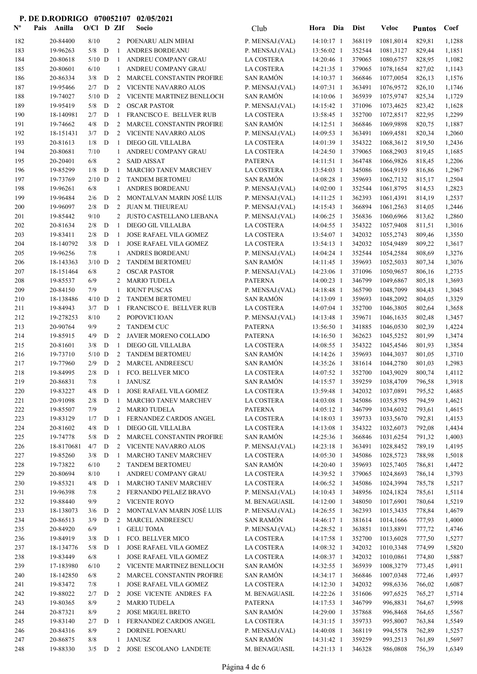| ${\bf N^o}$ | Pais | Anilla                | $O/C1$ D ZIf    |             |                   | Socio                                                 | Club                                | Hora                     | Dia | <b>Dist</b>      | <b>Veloc</b>                | <b>Puntos</b>    | Coef             |
|-------------|------|-----------------------|-----------------|-------------|-------------------|-------------------------------------------------------|-------------------------------------|--------------------------|-----|------------------|-----------------------------|------------------|------------------|
| 182         |      | 20-84400              | 8/10            |             |                   | 2 POENARU ALIN MIHAI                                  | P. MENSAJ.(VAL)                     | 14:10:17 1               |     | 368119           | 1081,8014                   | 829,81           | 1,1288           |
| 183         |      | 19-96263              | $5/8$ D         |             | -1                | ANDRES BORDEANU                                       | P. MENSAJ.(VAL)                     | 13:56:02 1               |     | 352544           | 1081,3127                   | 829,44           | 1,1851           |
| 184         |      | 20-80618              | $5/10$ D        |             | -1                | ANDREU COMPANY GRAU                                   | LA COSTERA                          | 14:20:46 1               |     | 379065           | 1080,6757                   | 828,95           | 1,1082           |
| 185         |      | 20-80601              | 6/10            |             | 1                 | ANDREU COMPANY GRAU                                   | LA COSTERA                          | 14:21:35 1               |     | 379065           | 1078,1654                   | 827,02           | 1,1143           |
| 186         |      | 20-86334              | 3/8             | D           | 2                 | MARCEL CONSTANTIN PROFIRE                             | <b>SAN RAMÓN</b>                    | 14:10:37 1               |     | 366846           | 1077,0054                   | 826,13           | 1,1576           |
| 187         |      | 19-95466              | 2/7             | D           |                   | 2 VICENTE NAVARRO ALOS                                | P. MENSAJ.(VAL)                     | 14:07:31 1               |     | 363491           | 1076,9572                   | 826,10           | 1,1746           |
| 188         |      | 19-74027              | $5/10$ D        |             | 2                 | VICENTE MARTINEZ BENLLOCH                             | <b>SAN RAMÓN</b>                    | 14:10:06 1               |     | 365939           | 1075,9747                   | 825,34           | 1,1729           |
| 189         |      | 19-95419              | 5/8             | D           | 2                 | <b>OSCAR PASTOR</b>                                   | P. MENSAJ.(VAL)                     | 14:15:42 1               |     | 371096           | 1073,4625                   | 823,42           | 1,1628           |
| 190<br>191  |      | 18-140981<br>19-74662 | 2/7<br>4/8      | D<br>D      | 1<br>2            | FRANCISCO E. BELLVER RUB<br>MARCEL CONSTANTIN PROFIRE | LA COSTERA<br><b>SAN RAMÓN</b>      | 13:58:45 1<br>14:12:51 1 |     | 352700<br>366846 | 1072,8517<br>1069,9898      | 822,95<br>820,75 | 1,2299<br>1,1887 |
| 192         |      | 18-151431             | 3/7             | D           | 2                 | VICENTE NAVARRO ALOS                                  | P. MENSAJ.(VAL)                     | 14:09:53 1               |     | 363491           | 1069,4581                   | 820,34           | 1,2060           |
| 193         |      | 20-81613              | 1/8             | D           | -1                | DIEGO GIL VILLALBA                                    | LA COSTERA                          | 14:01:39 1               |     | 354322           | 1068,3612                   | 819,50           | 1,2436           |
| 194         |      | 20-80681              | 7/10            |             | 1                 | ANDREU COMPANY GRAU                                   | LA COSTERA                          | 14:24:50 1               |     | 379065           | 1068,2903                   | 819,45           | 1,1685           |
| 195         |      | 20-20401              | 6/8             |             | 2                 | <b>SAID AISSAT</b>                                    | <b>PATERNA</b>                      | $14:11:51$ 1             |     | 364748           | 1066,9826                   | 818,45           | 1,2206           |
| 196         |      | 19-85299              | 1/8             | D           | -1                | MARCHO TANEV MARCHEV                                  | LA COSTERA                          | 13:54:03 1               |     | 345086           | 1064,9159                   | 816,86           | 1,2967           |
| 197         |      | 19-73769              | $2/10$ D        |             | 2                 | <b>TANDEM BERTOMEU</b>                                | <b>SAN RAMÓN</b>                    | 14:08:28 1               |     | 359693           | 1062,7132                   | 815,17           | 1,2504           |
| 198         |      | 19-96261              | 6/8             |             | 1                 | ANDRES BORDEANU                                       | P. MENSAJ.(VAL)                     | 14:02:00 1               |     | 352544           | 1061,8795                   | 814,53           | 1,2823           |
| 199         |      | 19-96484              | 2/6             | D           | 2                 | MONTALVAN MARIN JOSÉ LUIS                             | P. MENSAJ.(VAL)                     | 14:11:25 1               |     | 362393           | 1061,4391                   | 814,19           | 1,2537           |
| 200         |      | 19-96097              | 2/8             | D           | 2                 | <b>JUAN M. THEUREAU</b>                               | P. MENSAJ.(VAL)                     | 14:15:43 1               |     | 366894           | 1061,2563                   | 814,05           | 1,2446           |
| 201         |      | 19-85442              | 9/10            |             | 2                 | JUSTO CASTELLANO LIEBANA                              | P. MENSAJ.(VAL)                     | 14:06:25 1               |     | 356836           | 1060,6966                   | 813,62           | 1,2860           |
| 202         |      | 20-81634              | 2/8             | D           | $\mathbf{1}$      | DIEGO GIL VILLALBA                                    | LA COSTERA                          | 14:04:55 1               |     | 354322           | 1057,9408                   | 811,51           | 1,3016           |
| 203         |      | 19-83411              | 2/8             | D           | -1                | <b>JOSE RAFAEL VILA GOMEZ</b>                         | LA COSTERA                          | 13:54:07 1               |     | 342032           | 1055,2743                   | 809,46           | 1,3550           |
| 204         |      | 18-140792             | 3/8             | D           | -1                | JOSE RAFAEL VILA GOMEZ                                | LA COSTERA                          | 13:54:13 1               |     | 342032           | 1054,9489                   | 809,22           | 1,3617           |
| 205<br>206  |      | 19-96256<br>18-143363 | 7/8<br>$3/10$ D |             | $\mathbf{1}$<br>2 | ANDRES BORDEANU<br><b>TANDEM BERTOMEU</b>             | P. MENSAJ.(VAL)<br><b>SAN RAMÓN</b> | 14:04:24 1<br>14:11:45 1 |     | 352544<br>359693 | 1054,2584<br>1052,5033      | 808,69<br>807,34 | 1,3276<br>1,3076 |
| 207         |      | 18-151464             | 6/8             |             | 2                 | <b>OSCAR PASTOR</b>                                   | P. MENSAJ.(VAL)                     | 14:23:06 1               |     | 371096           | 1050,9657                   | 806,16           | 1,2735           |
| 208         |      | 19-85537              | 6/9             |             | 2                 | <b>MARIO TUDELA</b>                                   | <b>PATERNA</b>                      | 14:00:23 1               |     | 346799           | 1049,6867                   | 805,18           | 1,3693           |
| 209         |      | 20-84150              | 7/9             |             | $\mathbf{1}$      | <b>IOUNT PUSCAS</b>                                   | P. MENSAJ.(VAL)                     | 14:18:48 1               |     | 365790           | 1048,7099                   | 804,43           | 1,3045           |
| 210         |      | 18-138486             | $4/10$ D        |             | 2                 | <b>TANDEM BERTOMEU</b>                                | <b>SAN RAMÓN</b>                    | 14:13:09 1               |     | 359693           | 1048,2092                   | 804,05           | 1,3329           |
| 211         |      | 19-84943              | $3/7$ D         |             | -1                | FRANCISCO E. BELLVER RUB                              | LA COSTERA                          | 14:07:04 1               |     | 352700           | 1046,3805                   | 802,64           | 1,3658           |
| 212         |      | 19-278253             | 8/10            |             | 2                 | POPOVICI IOAN                                         | P. MENSAJ.(VAL)                     | 14:13:48 1               |     | 359671           | 1046,1635                   | 802,48           | 1,3457           |
| 213         |      | 20-90764              | 9/9             |             | 2                 | <b>TANDEM CUC</b>                                     | <b>PATERNA</b>                      | 13:56:50 1               |     | 341885           | 1046,0530                   | 802,39           | 1,4224           |
| 214         |      | 19-85915              | 4/9             | D           | 2                 | JAVIER MORENO COLLADO                                 | <b>PATERNA</b>                      | 14:16:50 1               |     | 362623           | 1045,5252                   | 801,99           | 1,3474           |
| 215         |      | 20-81601              | 3/8             | D           | -1                | DIEGO GIL VILLALBA                                    | LA COSTERA                          | 14:08:55 1               |     | 354322           | 1045,4546                   | 801,93           | 1,3854           |
| 216         |      | 19-73710              | $5/10$ D        |             | 2                 | <b>TANDEM BERTOMEU</b>                                | <b>SAN RAMÓN</b>                    | 14:14:26 1               |     | 359693           | 1044,3037                   | 801,05           | 1,3710           |
| 217         |      | 19-77960              | 2/9             | D           | 2                 | MARCEL ANDREESCU                                      | <b>SAN RAMÓN</b>                    | 14:35:26 1               |     | 381614           | 1044,2780                   | 801,03           | 1,2983           |
| 218         |      | 19-84995              | 2/8             | D           | -1                | FCO. BELLVER MICO                                     | LA COSTERA                          | 14:07:52 1               |     | 352700           | 1043,9029                   | 800,74           | 1,4112           |
| 219         |      | 20-86831              | 7/8             |             |                   | 1 JANUSZ                                              | <b>SAN RAMÓN</b>                    |                          |     |                  | 14:15:57 1 359259 1038,4709 | 796,58           | 1,3918           |
| 220         |      | 19-83227              | 4/8             | D           | -1                | JOSE RAFAEL VILA GOMEZ                                | LA COSTERA                          | 13:59:48 1               |     | 342032           | 1037,0891                   | 795,52           | 1,4685           |
| 221<br>222  |      | 20-91098<br>19-85507  | 2/8<br>7/9      | $\mathbf D$ | 1                 | MARCHO TANEV MARCHEV<br>2 MARIO TUDELA                | LA COSTERA<br><b>PATERNA</b>        | 14:03:08 1<br>14:05:12 1 |     | 345086<br>346799 | 1035,8795<br>1034,6032      | 794,59<br>793,61 | 1,4621<br>1,4615 |
| 223         |      | 19-83129              | $1/7$ D         |             | -1                | FERNANDEZ CARDOS ANGEL                                | LA COSTERA                          | 14:18:03 1               |     | 359733           | 1033,5670                   | 792,81           | 1,4153           |
| 224         |      | 20-81602              | 4/8             | D           | 1                 | DIEGO GIL VILLALBA                                    | LA COSTERA                          | 14:13:08 1               |     | 354322           | 1032,6073                   | 792,08           | 1,4434           |
| 225         |      | 19-74778              | 5/8             | D           | 2                 | MARCEL CONSTANTIN PROFIRE                             | <b>SAN RAMÓN</b>                    | 14:25:36 1               |     | 366846           | 1031,6254                   | 791,32           | 1,4003           |
| 226         |      | 18-8170681            | 4/7             | D           |                   | 2 VICENTE NAVARRO ALOS                                | P. MENSAJ.(VAL)                     | 14:23:18 1               |     | 363491           | 1028,8452                   | 789,19           | 1,4195           |
| 227         |      | 19-85260              | $3/8$ D         |             | -1                | MARCHO TANEV MARCHEV                                  | LA COSTERA                          | 14:05:30 1               |     | 345086           | 1028,5723                   | 788,98           | 1,5018           |
| 228         |      | 19-73822              | 6/10            |             | 2                 | <b>TANDEM BERTOMEU</b>                                | <b>SAN RAMÓN</b>                    | 14:20:40 1               |     | 359693           | 1025,7405                   | 786,81           | 1,4472           |
| 229         |      | 20-80694              | 8/10            |             | 1                 | ANDREU COMPANY GRAU                                   | LA COSTERA                          | 14:39:52 1               |     | 379065           | 1024,8693                   | 786,14           | 1,3793           |
| 230         |      | 19-85321              | $4/8$ D         |             | -1                | MARCHO TANEV MARCHEV                                  | LA COSTERA                          | 14:06:52 1               |     | 345086           | 1024,3994                   | 785,78           | 1,5217           |
| 231         |      | 19-96398              | 7/8             |             |                   | 2 FERNANDO PELAEZ BRAVO                               | P. MENSAJ.(VAL)                     | 14:10:43 1               |     | 348956           | 1024,1824                   | 785,61           | 1,5114           |
| 232         |      | 19-88440              | 9/9             |             | $\overline{2}$    | <b>VICENTE ROYO</b>                                   | M. BENAGUASIL                       | 14:12:00 1               |     | 348050           | 1017,6901                   | 780,64           | 1,5219           |
| 233         |      | 18-138073             | 3/6             | $\,$ D      | $2^{\circ}$       | MONTALVAN MARIN JOSÉ LUIS                             | P. MENSAJ.(VAL)                     | 14:26:55 1               |     | 362393           | 1015,3435                   | 778,84           | 1,4679           |
| 234         |      | 20-86513              | 3/9             | D           | $2^{\circ}$       | <b>MARCEL ANDREESCU</b>                               | <b>SAN RAMÓN</b>                    | 14:46:17 1               |     | 381614           | 1014,1666                   | 777,93           | 1,4000           |
| 235         |      | 20-84920              | 6/9             |             | $\mathbf{1}$      | <b>GELU TOMA</b>                                      | P. MENSAJ.(VAL)                     | 14:28:52 1               |     | 363851           | 1013,8891                   | 777,72           | 1,4746           |
| 236         |      | 19-84919              | 3/8             | D           | -1                | FCO. BELLVER MICO                                     | LA COSTERA                          | 14:17:58 1               |     | 352700<br>342032 | 1013,6028                   | 777,50           | 1,5277           |
| 237<br>238  |      | 18-134776<br>19-83449 | 5/8<br>6/8      | D           | -1<br>1           | JOSE RAFAEL VILA GOMEZ<br>JOSE RAFAEL VILA GOMEZ      | LA COSTERA<br>LA COSTERA            | 14:08:32 1<br>14:08:37 1 |     | 342032           | 1010,3348<br>1010,0861      | 774,99<br>774,80 | 1,5820<br>1,5887 |
| 239         |      | 17-183980             | 6/10            |             |                   | 2 VICENTE MARTINEZ BENLLOCH                           | SAN RAMÓN                           | 14:32:55 1               |     | 365939           | 1008,3279                   | 773,45           | 1,4911           |
| 240         |      | 18-142850             | 6/8             |             | 2                 | MARCEL CONSTANTIN PROFIRE                             | SAN RAMÓN                           | 14:34:17 1               |     | 366846           | 1007,0348                   | 772,46           | 1,4937           |
| 241         |      | 19-83472              | 7/8             |             | $\mathbf{1}$      | JOSE RAFAEL VILA GOMEZ                                | LA COSTERA                          | 14:12:30 1               |     | 342032           | 998,6336                    | 766,02           | 1,6087           |
| 242         |      | 19-88022              | 2/7             | D           | 2                 | JOSE VICENTE ANDRES FA                                | M. BENAGUASIL                       | 14:22:26 1               |     | 351606           | 997,6525                    | 765,27           | 1,5714           |
| 243         |      | 19-80365              | 8/9             |             |                   | 2 MARIO TUDELA                                        | <b>PATERNA</b>                      | 14:17:53 1               |     | 346799           | 996,8831                    | 764,67           | 1,5998           |
| 244         |      | 20-87321              | 8/9             |             | $\overline{2}$    | <b>JOSE MIGUEL BRETO</b>                              | <b>SAN RAMÓN</b>                    | 14:29:00 1               |     | 357868           | 996,8468                    | 764,65           | 1,5567           |
| 245         |      | 19-83140              | 2/7             | D           | -1                | FERNANDEZ CARDOS ANGEL                                | LA COSTERA                          | 14:31:15 1               |     | 359733           | 995,8007                    | 763,84           | 1,5549           |
| 246         |      | 20-84316              | 8/9             |             |                   | 2 DORINEL POENARU                                     | P. MENSAJ.(VAL)                     | 14:40:08 1               |     | 368119           | 994,5578                    | 762,89           | 1,5257           |
| 247         |      | 20-86875              | 8/8             |             | 1                 | <b>JANUSZ</b>                                         | <b>SAN RAMÓN</b>                    | 14:31:42 1               |     | 359259           | 993,2513                    | 761,89           | 1,5697           |
| 248         |      | 19-88330              | $3/5$ D         |             |                   | 2 JOSE ESCOLANO LANDETE                               | M. BENAGUASIL                       | $14:21:13$ 1             |     | 346328           | 986,0808                    | 756,39           | 1,6349           |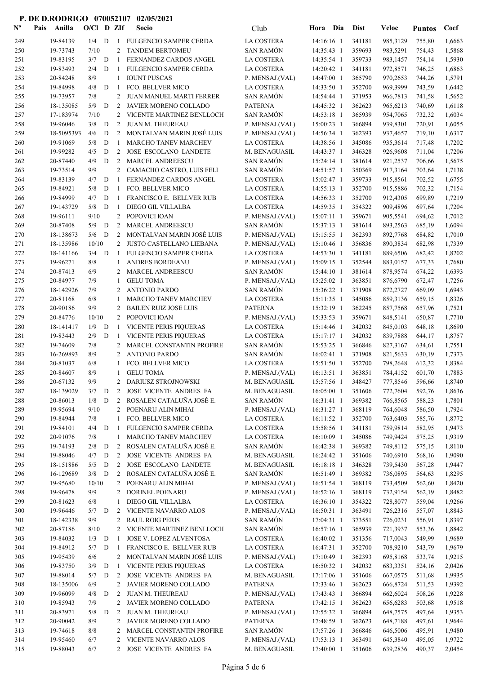| $N^{\text{o}}$ | Pais | Anilla                | $O/Cl$ D ZIf |             |                | Socio                                               | Club                                | Hora Dia                 | <b>Dist</b>      | Veloc                | <b>Puntos</b>    | Coef             |
|----------------|------|-----------------------|--------------|-------------|----------------|-----------------------------------------------------|-------------------------------------|--------------------------|------------------|----------------------|------------------|------------------|
| 249            |      | 19-84139              | 1/4          | D           |                | 1 FULGENCIO SAMPER CERDA                            | LA COSTERA                          | 14:16:16 1               | 341181           | 985,3129             | 755,80           | 1,6663           |
| 250            |      | 19-73743              | 7/10         |             | 2              | <b>TANDEM BERTOMEU</b>                              | <b>SAN RAMÓN</b>                    | 14:35:43 1               | 359693           | 983,5291             | 754,43           | 1,5868           |
| 251            |      | 19-83195              | 3/7          | D           | -1             | FERNANDEZ CARDOS ANGEL                              | LA COSTERA                          | 14:35:54 1               | 359733           | 983,1457             | 754,14           | 1,5930           |
| 252            |      | 19-83493              | 2/4          | D           | -1             | FULGENCIO SAMPER CERDA                              | LA COSTERA                          | 14:20:42 1               | 341181           | 972,8571             | 746,25           | 1,6863           |
| 253            |      | 20-84248              | 8/9          |             | 1              | <b>IOUNT PUSCAS</b>                                 | P. MENSAJ.(VAL)                     | 14:47:00 1               | 365790           | 970,2653             | 744,26           | 1,5791           |
| 254            |      | 19-84998              | 4/8          | D           | -1             | FCO. BELLVER MICO                                   | LA COSTERA                          | 14:33:50 1               | 352700           | 969,3999             | 743,59           | 1,6442           |
| 255            |      | 19-73957              | 7/8          |             | $\overline{2}$ | JUAN MANUEL MARTI FERRER                            | <b>SAN RAMÓN</b>                    | 14:54:44 1               | 371953           | 966,7813             | 741,58           | 1,5652           |
| 256            |      | 18-135085             | 5/9          | D           | 2              | JAVIER MORENO COLLADO                               | <b>PATERNA</b>                      | 14:45:32 1               | 362623           | 965,6213             | 740,69           | 1,6118           |
| 257            |      | 17-183974             | 7/10         |             | 2              | VICENTE MARTINEZ BENLLOCH                           | <b>SAN RAMÓN</b>                    | 14:53:18 1               | 365939           | 954,7065             | 732,32           | 1,6034           |
| 258            |      | 19-96046              | 3/8          | D           | 2              | JUAN M. THEUREAU                                    | P. MENSAJ.(VAL)                     | 15:00:23 1               | 366894           | 939,8301             | 720,91           | 1,6055           |
| 259            |      | 18-5095393            | 4/6          | D           | 2              | MONTALVAN MARIN JOSÉ LUIS                           | P. MENSAJ.(VAL)                     | 14:56:34 1               | 362393           | 937,4657             | 719,10           | 1,6317           |
| 260            |      | 19-91069              | 5/8          | D           | -1             | MARCHO TANEV MARCHEV                                | LA COSTERA                          | 14:38:56 1               | 345086           | 935,3614             | 717,48           | 1,7202           |
| 261            |      | 19-99282              | 4/5          | D           | 2              | <b>JOSE ESCOLANO LANDETE</b>                        | M. BENAGUASIL                       | 14:43:37 1               | 346328           | 926,9608             | 711,04           | 1,7206           |
| 262            |      | 20-87440              | 4/9          | $\mathbf D$ | 2              | MARCEL ANDREESCU                                    | <b>SAN RAMÓN</b>                    | 15:24:14 1               | 381614           | 921,2537             | 706,66           | 1,5675           |
| 263            |      | 19-73514              | 9/9          |             | 2              | CAMACHO CASTRO, LUIS FELI                           | <b>SAN RAMÓN</b>                    | 14:51:57 1               | 350369           | 917,3164             | 703,64           | 1,7138           |
| 264            |      | 19-83139              | 4/7          | D           | -1             | FERNANDEZ CARDOS ANGEL                              | LA COSTERA                          | 15:02:47 1               | 359733           | 915,8561             | 702,52           | 1,6755           |
| 265            |      | 19-84921              | 5/8          | D           | -1             | FCO. BELLVER MICO                                   | LA COSTERA                          | 14:55:13 1               | 352700           | 915,5886             | 702,32           | 1,7154           |
| 266            |      | 19-84999              | 4/7          | D           | -1             | FRANCISCO E. BELLVER RUB                            | LA COSTERA                          | 14:56:33 1               | 352700           | 912,4305             | 699,89           | 1,7219           |
| 267            |      | 19-143729             | 5/8          | D           | -1             | DIEGO GIL VILLALBA<br>POPOVICI IOAN                 | LA COSTERA                          | 14:59:35 1               | 354322           | 909,4896             | 697,64           | 1,7204           |
| 268<br>269     |      | 19-96111<br>20-87408  | 9/10<br>5/9  | D           | 2<br>2         | MARCEL ANDREESCU                                    | P. MENSAJ.(VAL)<br><b>SAN RAMÓN</b> | 15:07:11 1<br>15:37:13 1 | 359671<br>381614 | 905,5541<br>893,2563 | 694,62           | 1,7012<br>1,6094 |
| 270            |      | 18-138673             | 5/6          | D           | 2              | MONTALVAN MARIN JOSÉ LUIS                           | P. MENSAJ.(VAL)                     | 15:15:55 1               | 362393           | 892,7768             | 685,19<br>684,82 | 1,7010           |
| 271            |      | 18-135986             | 10/10        |             | 2              | JUSTO CASTELLANO LIEBANA                            | P. MENSAJ.(VAL)                     | 15:10:46 1               | 356836           | 890,3834             | 682,98           | 1,7339           |
| 272            |      | 18-141166             | 3/4          | D           | -1             | FULGENCIO SAMPER CERDA                              | LA COSTERA                          | 14:53:30 1               | 341181           | 889,6506             | 682,42           | 1,8202           |
| 273            |      | 19-96271              | 8/8          |             | 1              | ANDRES BORDEANU                                     | P. MENSAJ.(VAL)                     | 15:09:15 1               | 352544           | 883,0157             | 677,33           | 1,7680           |
| 274            |      | 20-87413              | 6/9          |             | 2              | MARCEL ANDREESCU                                    | <b>SAN RAMÓN</b>                    | 15:44:10 1               | 381614           | 878,9574             | 674,22           | 1,6393           |
| 275            |      | 20-84977              | 7/9          |             | 1              | <b>GELU TOMA</b>                                    | P. MENSAJ.(VAL)                     | 15:25:02 1               | 363851           | 876,6790             | 672,47           | 1,7256           |
| 276            |      | 18-142926             | 7/9          |             | 2              | <b>ANTONIO PARDO</b>                                | <b>SAN RAMÓN</b>                    | 15:36:22 1               | 371908           | 872,2727             | 669,09           | 1,6943           |
| 277            |      | 20-81168              | 6/8          |             | 1              | MARCHO TANEV MARCHEV                                | LA COSTERA                          | 15:11:35 1               | 345086           | 859,3136             | 659,15           | 1,8326           |
| 278            |      | 20-90186              | 9/9          |             | 2              | <b>BAILEN RUIZ JOSE LUIS</b>                        | <b>PATERNA</b>                      | 15:32:19 1               | 362245           | 857,7568             | 657,96           | 1,7521           |
| 279            |      | 20-84776              | 10/10        |             | $\overline{2}$ | POPOVICI IOAN                                       | P. MENSAJ.(VAL)                     | 15:33:53 1               | 359671           | 848,5141             | 650,87           | 1,7710           |
| 280            |      | 18-141417             | 1/9          | D           | -1             | VICENTE PERIS PIQUERAS                              | LA COSTERA                          | 15:14:46 1               | 342032           | 845,0103             | 648,18           | 1,8690           |
| 281            |      | 19-83443              | 2/9          | D           | -1             | <b>VICENTE PERIS PIQUERAS</b>                       | LA COSTERA                          | 15:17:17 1               | 342032           | 839,7888             | 644,17           | 1,8757           |
| 282            |      | 19-74609              | 7/8          |             | 2              | MARCEL CONSTANTIN PROFIRE                           | <b>SAN RAMÓN</b>                    | 15:53:25 1               | 366846           | 827,3167             | 634,61           | 1,7551           |
| 283            |      | 16-269893             | 8/9          |             | 2              | <b>ANTONIO PARDO</b>                                | <b>SAN RAMÓN</b>                    | 16:02:41 1               | 371908           | 821,5633             | 630,19           | 1,7373           |
| 284            |      | 20-81037              | 6/8          |             | 1              | FCO. BELLVER MICO                                   | LA COSTERA                          | 15:51:50 1               | 352700           | 798,2648             | 612,32           | 1,8384           |
| 285            |      | 20-84607              | 8/9          |             | $\mathbf{1}$   | <b>GELU TOMA</b>                                    | P. MENSAJ.(VAL)                     | $16:13:51$ 1             | 363851           | 784,4152             | 601,70           | 1,7883           |
| 286            |      | 20-67132              | $9/9$        |             |                | 2 DARIUSZ STROJNOWSKI                               | M. BENAGUASIL                       | 15:57:56 1 348427        |                  | 777,8546 596,66      |                  | 1,8740           |
| 287            |      | 18-139029             | $3/7$ D      |             | 2              | JOSE VICENTE ANDRES FA                              | M. BENAGUASIL                       | 16:05:00 1               | 351606           | 772,7604             | 592,76           | 1,8636           |
| 288            |      | 20-86013              | 1/8          | D           |                | 2 ROSALEN CATALUÑA JOSÉ E.                          | <b>SAN RAMÓN</b>                    | 16:31:41 1               | 369382           | 766,8565             | 588,23           | 1,7801           |
| 289            |      | 19-95694              | 9/10         |             | $\mathbf{2}$   | POENARU ALIN MIHAI                                  | P. MENSAJ.(VAL)                     | $16:31:27$ 1             | 368119           | 764,6048             | 586,50           | 1,7924           |
| 290            |      | 19-84944              | 7/8          |             | 1              | FCO. BELLVER MICO                                   | LA COSTERA                          | $16:11:52$ 1             | 352700           | 763,6403             | 585,76           | 1,8772           |
| 291            |      | 19-84101              | 4/4          | D           | -1             | FULGENCIO SAMPER CERDA                              | LA COSTERA                          | 15:58:56 1               | 341181           | 759,9814             | 582,95           | 1,9473           |
| 292            |      | 20-91076              | 7/8          |             | $\mathbf{1}$   | MARCHO TANEV MARCHEV                                | LA COSTERA                          | 16:10:09 1               | 345086           | 749,9424             | 575,25           | 1,9319           |
| 293            |      | 19-74193              | 2/8          | D           | 2              | ROSALEN CATALUÑA JOSÉ E.                            | <b>SAN RAMÓN</b>                    | 16:42:38 1               | 369382           | 749,8112             | 575,15           | 1,8110           |
| 294            |      | 19-88046              | 4/7          | D           | 2              | JOSE VICENTE ANDRES FA                              | M. BENAGUASIL                       | 16:24:42 1               | 351606           | 740,6910             | 568,16           | 1,9090           |
| 295            |      | 18-151886             | 5/5<br>3/8   | D<br>D      | 2              | JOSE ESCOLANO LANDETE<br>2 ROSALEN CATALUÑA JOSÉ E. | M. BENAGUASIL<br>SAN RAMÓN          | 16:18:18 1               | 346328<br>369382 | 739,5430             | 567,28           | 1,9447           |
| 296<br>297     |      | 16-129689<br>19-95680 | 10/10        |             |                | 2 POENARU ALIN MIHAI                                | P. MENSAJ.(VAL)                     | 16:51:49 1<br>16:51:54 1 | 368119           | 736,0895<br>733,4509 | 564,63<br>562,60 | 1,8295<br>1,8420 |
| 298            |      | 19-96478              | 9/9          |             | 2              | DORINEL POENARU                                     | P. MENSAJ.(VAL)                     | 16:52:16 1               | 368119           | 732,9154             | 562,19           | 1,8482           |
| 299            |      | 20-81623              | 6/8          |             | 1              | DIEGO GIL VILLALBA                                  | LA COSTERA                          | 16:36:10 1               | 354322           | 728,8077             | 559,04           | 1,9266           |
| 300            |      | 19-96446              | 5/7          | D           | 2              | VICENTE NAVARRO ALOS                                | P. MENSAJ.(VAL)                     | 16:50:31 1               | 363491           | 726,2316             | 557,07           | 1,8843           |
| 301            |      | 18-142338             | 9/9          |             | 2              | <b>RAUL ROIG PERIS</b>                              | <b>SAN RAMÓN</b>                    | 17:04:31 1               | 373551           | 726,0231             | 556,91           | 1,8397           |
| 302            |      | 20-87186              | 8/10         |             | 2              | VICENTE MARTINEZ BENLLOCH                           | <b>SAN RAMÓN</b>                    | 16:57:16 1               | 365939           | 721,3937             | 553,36           | 1,8842           |
| 303            |      | 19-84032              | 1/3          | D           | -1             | JOSE V. LOPEZ ALVENTOSA                             | LA COSTERA                          | 16:40:02 1               | 351356           | 717,0043             | 549,99           | 1,9689           |
| 304            |      | 19-84912              | 5/7          | D           | -1             | FRANCISCO E. BELLVER RUB                            | LA COSTERA                          | 16:47:31 1               | 352700           | 708,9210             | 543,79           | 1,9679           |
| 305            |      | 19-95439              | 6/6          |             |                | 2 MONTALVAN MARIN JOSÉ LUIS                         | P. MENSAJ.(VAL)                     | 17:10:49 1               | 362393           | 695,8168             | 533,74           | 1,9215           |
| 306            |      | 19-83750              | 3/9          | D           | -1             | VICENTE PERIS PIQUERAS                              | LA COSTERA                          | 16:50:32 1               | 342032           | 683,3351             | 524,16           | 2,0426           |
| 307            |      | 19-88014              | 5/7          | D           | 2              | JOSE VICENTE ANDRES FA                              | M. BENAGUASIL                       | 17:17:06 1               | 351606           | 667,0575             | 511,68           | 1,9935           |
| 308            |      | 18-135006             | 6/9          |             | 2              | JAVIER MORENO COLLADO                               | <b>PATERNA</b>                      | 17:33:46 1               | 362623           | 666,8724             | 511,53           | 1,9392           |
| 309            |      | 19-96099              | 4/8          | D           | 2              | JUAN M. THEUREAU                                    | P. MENSAJ.(VAL)                     | 17:43:43 1               | 366894           | 662,6024             | 508,26           | 1,9228           |
| 310            |      | 19-85943              | 7/9          |             | 2              | JAVIER MORENO COLLADO                               | <b>PATERNA</b>                      | 17:42:15 1               | 362623           | 656,6283             | 503,68           | 1,9518           |
| 311            |      | 20-83971              | 5/8          | D           | 2              | JUAN M. THEUREAU                                    | P. MENSAJ.(VAL)                     | 17:55:32 1               | 366894           | 648,7575             | 497,64           | 1,9353           |
| 312            |      | 20-90042              | 8/9          |             | 2              | JAVIER MORENO COLLADO                               | <b>PATERNA</b>                      | 17:48:59 1               | 362623           | 648,7188             | 497,61           | 1,9644           |
| 313            |      | 19-74618              | 8/8          |             | 2              | MARCEL CONSTANTIN PROFIRE                           | <b>SAN RAMÓN</b>                    | 17:57:26 1               | 366846           | 646,5006             | 495,91           | 1,9480           |
| 314            |      | 19-95460              | 6/7          |             | 2              | VICENTE NAVARRO ALOS                                | P. MENSAJ.(VAL)                     | 17:53:13 1               | 363491           | 645,3840             | 495,05           | 1,9722           |
| 315            |      | 19-88043              | 6/7          |             |                | 2 JOSE VICENTE ANDRES FA                            | M. BENAGUASIL                       | 17:40:00 1               | 351606           | 639,2836             | 490,37           | 2,0454           |